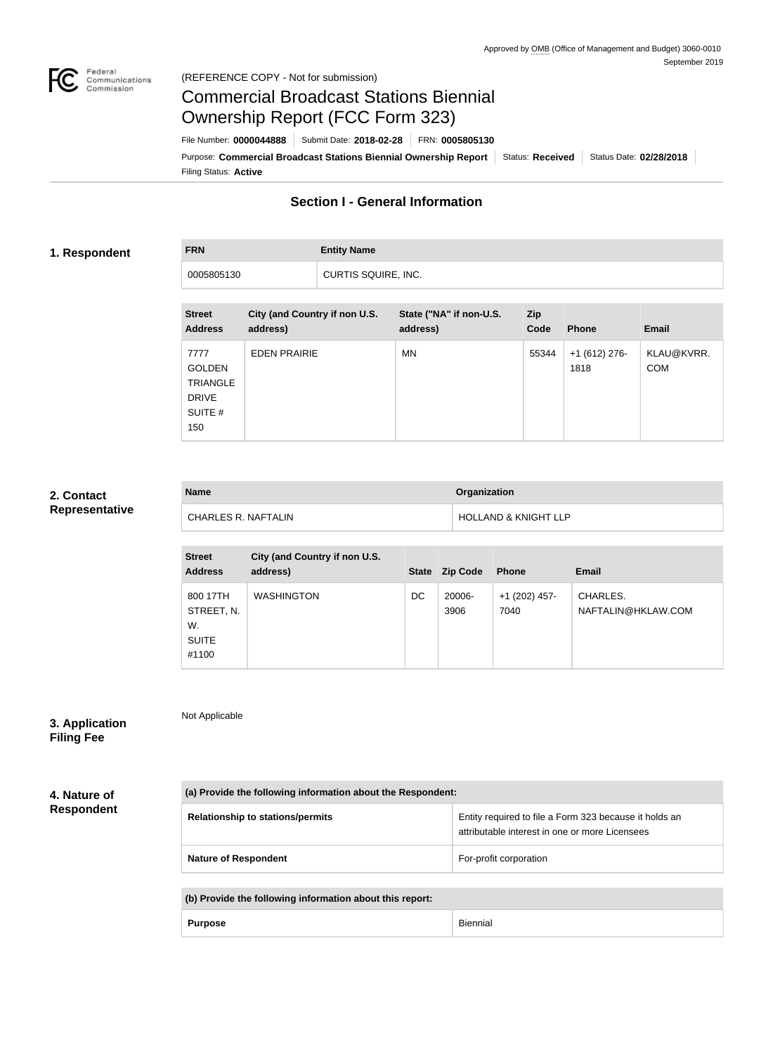

# Commercial Broadcast Stations Biennial Ownership Report (FCC Form 323)

Filing Status: **Active** Purpose: Commercial Broadcast Stations Biennial Ownership Report Status: Received Status Date: 02/28/2018 File Number: **0000044888** Submit Date: **2018-02-28** FRN: **0005805130**

# **Section I - General Information**

### **1. Respondent**

**FRN Entity Name** 0005805130 CURTIS SQUIRE, INC.

| <b>Street</b><br><b>Address</b>                                            | City (and Country if non U.S.<br>address) | State ("NA" if non-U.S.<br>address) | <b>Zip</b><br>Code | <b>Phone</b>           | <b>Email</b>             |
|----------------------------------------------------------------------------|-------------------------------------------|-------------------------------------|--------------------|------------------------|--------------------------|
| 7777<br><b>GOLDEN</b><br><b>TRIANGLE</b><br><b>DRIVE</b><br>SUITE #<br>150 | <b>EDEN PRAIRIE</b>                       | MN.                                 | 55344              | $+1(612)$ 276-<br>1818 | KLAU@KVRR.<br><b>COM</b> |

#### **2. Contact Representative**

| <b>Name</b>                | Organization                    |
|----------------------------|---------------------------------|
| <b>CHARLES R. NAFTALIN</b> | <b>HOLLAND &amp; KNIGHT LLP</b> |

| <b>Street</b><br><b>Address</b>                       | City (and Country if non U.S.<br>address) | <b>State</b> | <b>Zip Code</b> | <b>Phone</b>          | <b>Email</b>                   |
|-------------------------------------------------------|-------------------------------------------|--------------|-----------------|-----------------------|--------------------------------|
| 800 17TH<br>STREET, N.<br>W.<br><b>SUITE</b><br>#1100 | <b>WASHINGTON</b>                         | DC           | 20006-<br>3906  | +1 (202) 457-<br>7040 | CHARLES.<br>NAFTALIN@HKLAW.COM |

# **3. Application**

Not Applicable

**Filing Fee**

**4. Nature of** 

**Respondent**

| (a) Provide the following information about the Respondent: |                                                                                                          |  |  |
|-------------------------------------------------------------|----------------------------------------------------------------------------------------------------------|--|--|
| <b>Relationship to stations/permits</b>                     | Entity required to file a Form 323 because it holds an<br>attributable interest in one or more Licensees |  |  |
| <b>Nature of Respondent</b>                                 | For-profit corporation                                                                                   |  |  |

| (b) Provide the following information about this report: |          |  |
|----------------------------------------------------------|----------|--|
| <b>Purpose</b>                                           | Biennial |  |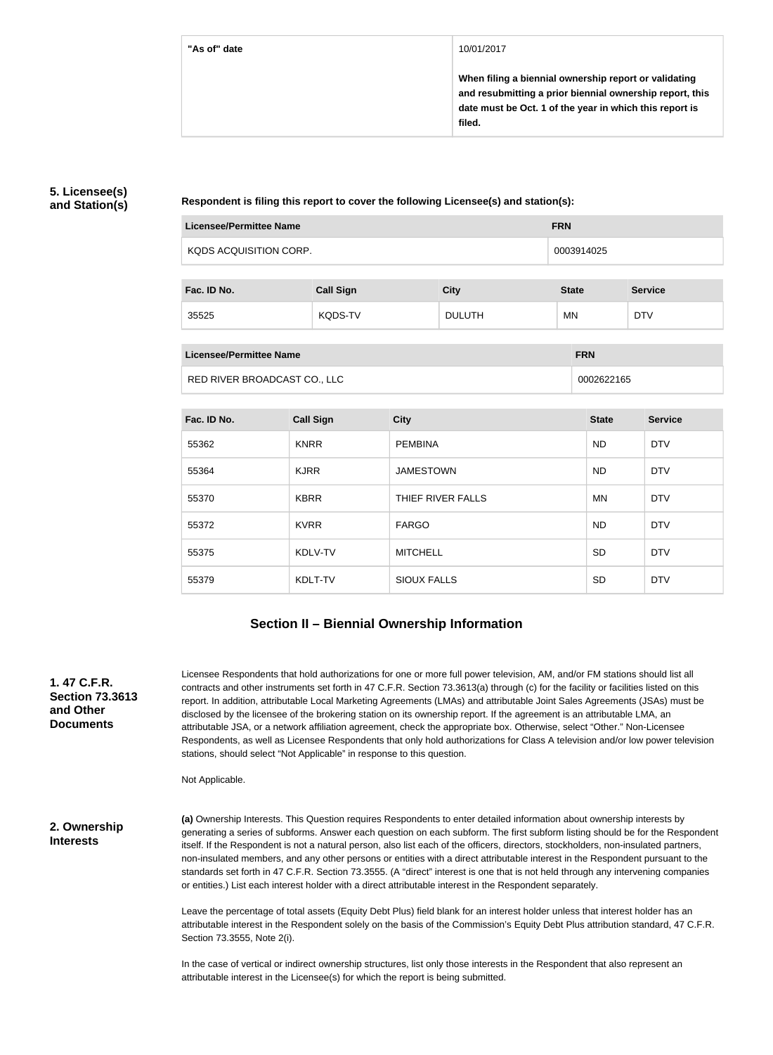#### **"As of" date** 10/01/2017

**When filing a biennial ownership report or validating and resubmitting a prior biennial ownership report, this date must be Oct. 1 of the year in which this report is filed.**

#### **5. Licensee(s) and Station(s)**

**Respondent is filing this report to cover the following Licensee(s) and station(s):**

| <b>Licensee/Permittee Name</b> |                  |             | <b>FRN</b>   |                |
|--------------------------------|------------------|-------------|--------------|----------------|
| KQDS ACQUISITION CORP.         |                  |             | 0003914025   |                |
|                                |                  |             |              |                |
| Fac. ID No.                    | <b>Call Sign</b> | <b>City</b> | <b>State</b> | <b>Service</b> |
|                                |                  |             |              |                |

| Licensee/Permittee Name      | <b>FRN</b> |
|------------------------------|------------|
| RED RIVER BROADCAST CO., LLC | 0002622165 |

35525 KQDS-TV DULUTH MN DTV

| Fac. ID No. | <b>Call Sign</b> | <b>City</b>        | <b>State</b> | <b>Service</b> |
|-------------|------------------|--------------------|--------------|----------------|
| 55362       | <b>KNRR</b>      | <b>PEMBINA</b>     | <b>ND</b>    | <b>DTV</b>     |
| 55364       | <b>KJRR</b>      | <b>JAMESTOWN</b>   | <b>ND</b>    | <b>DTV</b>     |
| 55370       | <b>KBRR</b>      | THIEF RIVER FALLS  | <b>MN</b>    | <b>DTV</b>     |
| 55372       | <b>KVRR</b>      | <b>FARGO</b>       | <b>ND</b>    | <b>DTV</b>     |
| 55375       | KDLV-TV          | <b>MITCHELL</b>    | <b>SD</b>    | <b>DTV</b>     |
| 55379       | KDLT-TV          | <b>SIOUX FALLS</b> | <b>SD</b>    | <b>DTV</b>     |

### **Section II – Biennial Ownership Information**

**1. 47 C.F.R. Section 73.3613 and Other Documents**

Licensee Respondents that hold authorizations for one or more full power television, AM, and/or FM stations should list all contracts and other instruments set forth in 47 C.F.R. Section 73.3613(a) through (c) for the facility or facilities listed on this report. In addition, attributable Local Marketing Agreements (LMAs) and attributable Joint Sales Agreements (JSAs) must be disclosed by the licensee of the brokering station on its ownership report. If the agreement is an attributable LMA, an attributable JSA, or a network affiliation agreement, check the appropriate box. Otherwise, select "Other." Non-Licensee Respondents, as well as Licensee Respondents that only hold authorizations for Class A television and/or low power television stations, should select "Not Applicable" in response to this question.

Not Applicable.

#### **2. Ownership Interests**

**(a)** Ownership Interests. This Question requires Respondents to enter detailed information about ownership interests by generating a series of subforms. Answer each question on each subform. The first subform listing should be for the Respondent itself. If the Respondent is not a natural person, also list each of the officers, directors, stockholders, non-insulated partners, non-insulated members, and any other persons or entities with a direct attributable interest in the Respondent pursuant to the standards set forth in 47 C.F.R. Section 73.3555. (A "direct" interest is one that is not held through any intervening companies or entities.) List each interest holder with a direct attributable interest in the Respondent separately.

Leave the percentage of total assets (Equity Debt Plus) field blank for an interest holder unless that interest holder has an attributable interest in the Respondent solely on the basis of the Commission's Equity Debt Plus attribution standard, 47 C.F.R. Section 73.3555, Note 2(i).

In the case of vertical or indirect ownership structures, list only those interests in the Respondent that also represent an attributable interest in the Licensee(s) for which the report is being submitted.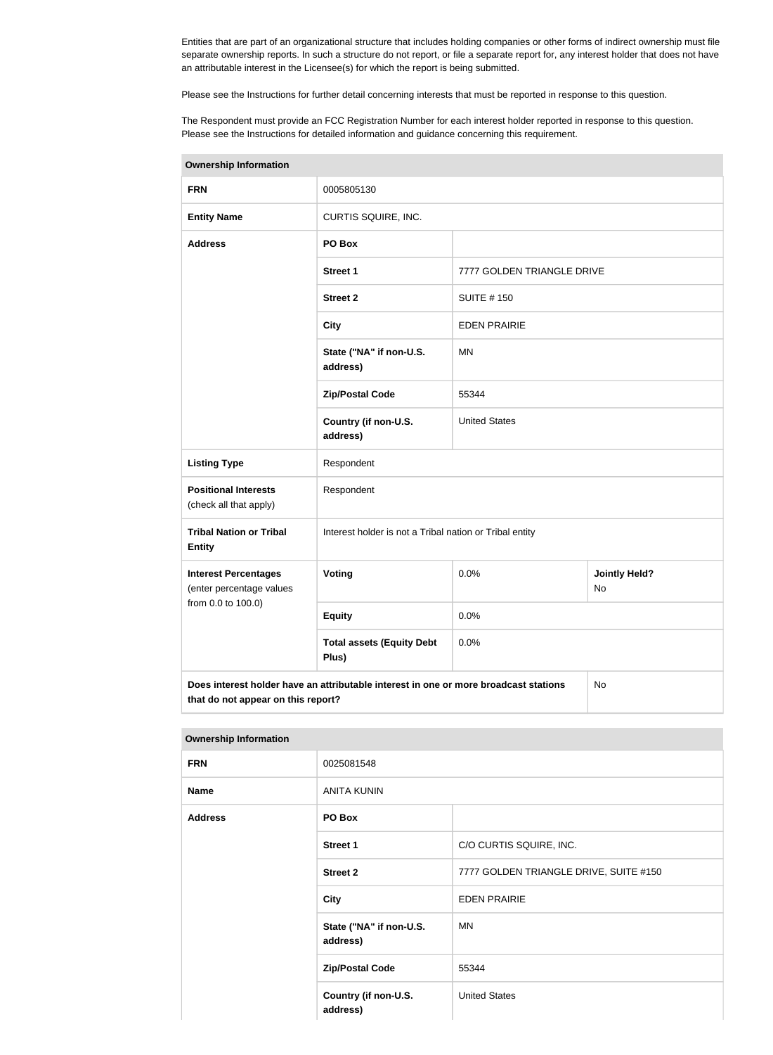Entities that are part of an organizational structure that includes holding companies or other forms of indirect ownership must file separate ownership reports. In such a structure do not report, or file a separate report for, any interest holder that does not have an attributable interest in the Licensee(s) for which the report is being submitted.

Please see the Instructions for further detail concerning interests that must be reported in response to this question.

The Respondent must provide an FCC Registration Number for each interest holder reported in response to this question. Please see the Instructions for detailed information and guidance concerning this requirement.

| <b>Ownership Information</b>                                                                                                     |                                                         |                            |  |  |
|----------------------------------------------------------------------------------------------------------------------------------|---------------------------------------------------------|----------------------------|--|--|
| <b>FRN</b>                                                                                                                       | 0005805130                                              |                            |  |  |
| <b>Entity Name</b>                                                                                                               | CURTIS SQUIRE, INC.                                     |                            |  |  |
| <b>Address</b>                                                                                                                   | PO Box                                                  |                            |  |  |
|                                                                                                                                  | <b>Street 1</b>                                         | 7777 GOLDEN TRIANGLE DRIVE |  |  |
|                                                                                                                                  | <b>Street 2</b>                                         | <b>SUITE #150</b>          |  |  |
|                                                                                                                                  | <b>City</b>                                             | <b>EDEN PRAIRIE</b>        |  |  |
|                                                                                                                                  | State ("NA" if non-U.S.<br><b>MN</b><br>address)        |                            |  |  |
|                                                                                                                                  | <b>Zip/Postal Code</b>                                  | 55344                      |  |  |
|                                                                                                                                  | Country (if non-U.S.<br>address)                        | <b>United States</b>       |  |  |
| <b>Listing Type</b>                                                                                                              | Respondent                                              |                            |  |  |
| <b>Positional Interests</b><br>(check all that apply)                                                                            | Respondent                                              |                            |  |  |
| <b>Tribal Nation or Tribal</b><br><b>Entity</b>                                                                                  | Interest holder is not a Tribal nation or Tribal entity |                            |  |  |
| <b>Interest Percentages</b><br>(enter percentage values                                                                          | Voting<br>0.0%<br><b>Jointly Held?</b><br><b>No</b>     |                            |  |  |
| from 0.0 to 100.0)                                                                                                               | <b>Equity</b>                                           | 0.0%                       |  |  |
|                                                                                                                                  | <b>Total assets (Equity Debt</b><br>Plus)               | 0.0%                       |  |  |
| Does interest holder have an attributable interest in one or more broadcast stations<br>No<br>that do not appear on this report? |                                                         |                            |  |  |

#### **Ownership Information**

| <b>FRN</b>     | 0025081548                          |                                        |  |
|----------------|-------------------------------------|----------------------------------------|--|
| <b>Name</b>    | <b>ANITA KUNIN</b>                  |                                        |  |
| <b>Address</b> | PO Box                              |                                        |  |
|                | <b>Street 1</b>                     | C/O CURTIS SQUIRE, INC.                |  |
|                | <b>Street 2</b>                     | 7777 GOLDEN TRIANGLE DRIVE, SUITE #150 |  |
|                | <b>City</b>                         | <b>EDEN PRAIRIE</b>                    |  |
|                | State ("NA" if non-U.S.<br>address) | ΜN                                     |  |
|                | <b>Zip/Postal Code</b>              | 55344                                  |  |
|                | Country (if non-U.S.<br>address)    | <b>United States</b>                   |  |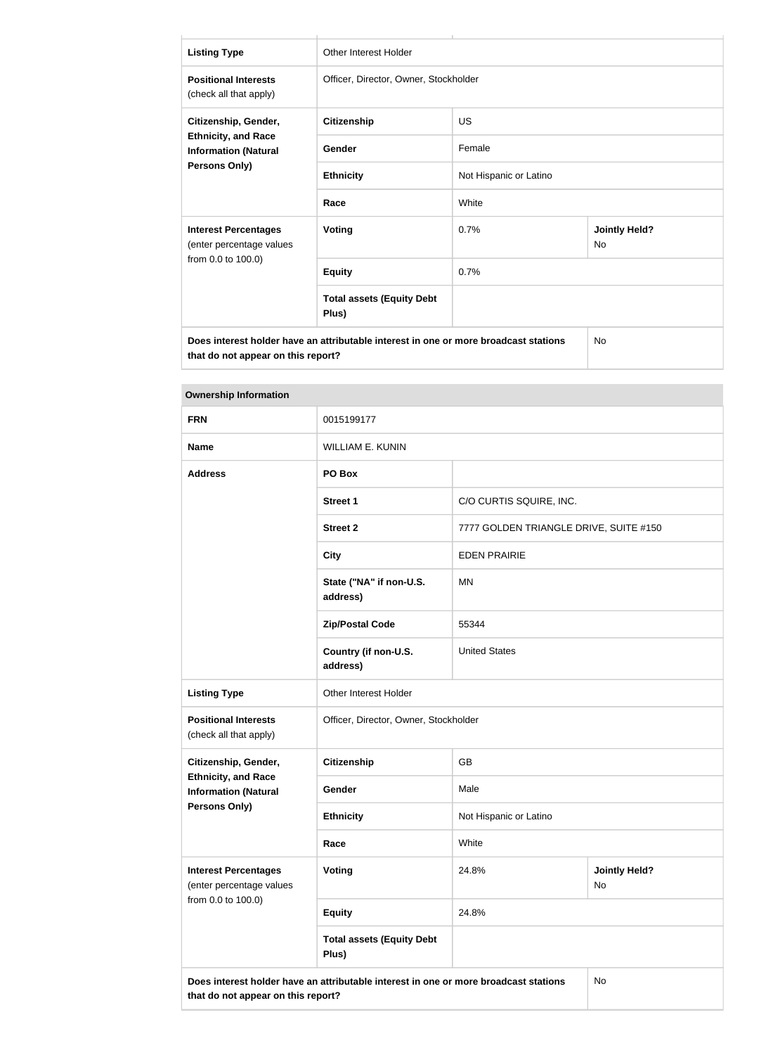| <b>Listing Type</b>                                                                                                               | <b>Other Interest Holder</b>              |                        |                                   |  |
|-----------------------------------------------------------------------------------------------------------------------------------|-------------------------------------------|------------------------|-----------------------------------|--|
| <b>Positional Interests</b><br>(check all that apply)                                                                             | Officer, Director, Owner, Stockholder     |                        |                                   |  |
| Citizenship, Gender,<br><b>Ethnicity, and Race</b><br><b>Information (Natural</b><br><b>Persons Only)</b>                         | <b>Citizenship</b>                        | US                     |                                   |  |
|                                                                                                                                   | Gender                                    | Female                 |                                   |  |
|                                                                                                                                   | <b>Ethnicity</b>                          | Not Hispanic or Latino |                                   |  |
|                                                                                                                                   | Race                                      | White                  |                                   |  |
| <b>Interest Percentages</b><br>(enter percentage values                                                                           | Voting                                    | 0.7%                   | <b>Jointly Held?</b><br><b>No</b> |  |
| from 0.0 to 100.0)                                                                                                                | <b>Equity</b>                             | 0.7%                   |                                   |  |
|                                                                                                                                   | <b>Total assets (Equity Debt</b><br>Plus) |                        |                                   |  |
| Does interest holder have an attributable interest in one or more broadcast stations<br>No.<br>that do not appear on this report? |                                           |                        |                                   |  |

| <b>Ownership Information</b>                              |                                           |                                        |                            |  |
|-----------------------------------------------------------|-------------------------------------------|----------------------------------------|----------------------------|--|
| <b>FRN</b>                                                | 0015199177                                |                                        |                            |  |
| <b>Name</b>                                               | <b>WILLIAM E. KUNIN</b>                   |                                        |                            |  |
| <b>Address</b>                                            | PO Box                                    |                                        |                            |  |
|                                                           | <b>Street 1</b>                           | C/O CURTIS SQUIRE, INC.                |                            |  |
|                                                           | <b>Street 2</b>                           | 7777 GOLDEN TRIANGLE DRIVE, SUITE #150 |                            |  |
|                                                           | <b>City</b>                               | <b>EDEN PRAIRIE</b>                    |                            |  |
|                                                           | State ("NA" if non-U.S.<br>address)       | <b>MN</b>                              |                            |  |
|                                                           | <b>Zip/Postal Code</b>                    | 55344                                  |                            |  |
|                                                           | Country (if non-U.S.<br>address)          | <b>United States</b>                   |                            |  |
| <b>Listing Type</b>                                       | Other Interest Holder                     |                                        |                            |  |
| <b>Positional Interests</b><br>(check all that apply)     | Officer, Director, Owner, Stockholder     |                                        |                            |  |
| Citizenship, Gender,                                      | <b>Citizenship</b>                        | <b>GB</b>                              |                            |  |
| <b>Ethnicity, and Race</b><br><b>Information (Natural</b> | Gender                                    | Male                                   |                            |  |
| <b>Persons Only)</b>                                      | <b>Ethnicity</b>                          | Not Hispanic or Latino                 |                            |  |
|                                                           | Race                                      | White                                  |                            |  |
| <b>Interest Percentages</b><br>(enter percentage values   | <b>Voting</b>                             | 24.8%                                  | <b>Jointly Held?</b><br>No |  |
| from 0.0 to 100.0)                                        | <b>Equity</b>                             | 24.8%                                  |                            |  |
|                                                           | <b>Total assets (Equity Debt</b><br>Plus) |                                        |                            |  |
|                                                           |                                           |                                        |                            |  |

**Does interest holder have an attributable interest in one or more broadcast stations that do not appear on this report?**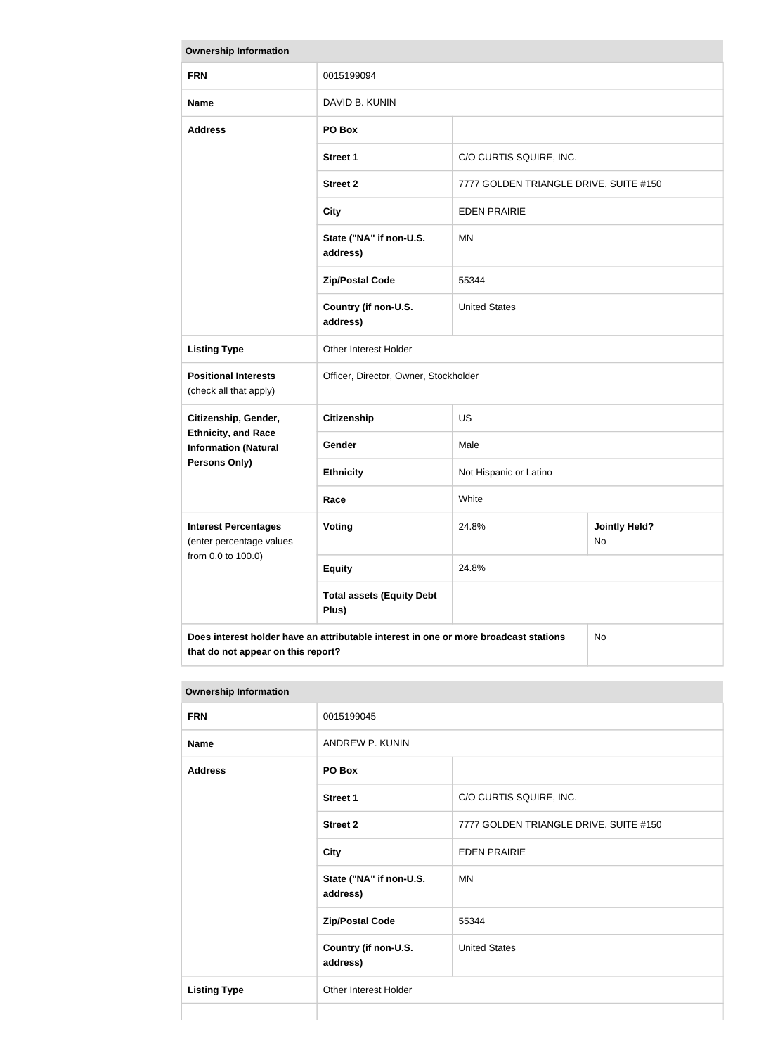| <b>Ownership Information</b>                                                                                                     |                                           |                                        |                            |  |
|----------------------------------------------------------------------------------------------------------------------------------|-------------------------------------------|----------------------------------------|----------------------------|--|
| <b>FRN</b>                                                                                                                       | 0015199094                                |                                        |                            |  |
| <b>Name</b>                                                                                                                      | DAVID B. KUNIN                            |                                        |                            |  |
| <b>Address</b>                                                                                                                   | PO Box                                    |                                        |                            |  |
|                                                                                                                                  | <b>Street 1</b>                           | C/O CURTIS SQUIRE, INC.                |                            |  |
|                                                                                                                                  | <b>Street 2</b>                           | 7777 GOLDEN TRIANGLE DRIVE, SUITE #150 |                            |  |
|                                                                                                                                  | <b>City</b>                               | <b>EDEN PRAIRIE</b>                    |                            |  |
|                                                                                                                                  | State ("NA" if non-U.S.<br>address)       | <b>MN</b>                              |                            |  |
|                                                                                                                                  | <b>Zip/Postal Code</b>                    | 55344                                  |                            |  |
|                                                                                                                                  | Country (if non-U.S.<br>address)          | <b>United States</b>                   |                            |  |
| <b>Listing Type</b>                                                                                                              | Other Interest Holder                     |                                        |                            |  |
| <b>Positional Interests</b><br>(check all that apply)                                                                            | Officer, Director, Owner, Stockholder     |                                        |                            |  |
| Citizenship, Gender,                                                                                                             | <b>Citizenship</b>                        | <b>US</b>                              |                            |  |
| <b>Ethnicity, and Race</b><br><b>Information (Natural</b>                                                                        | Gender                                    | Male                                   |                            |  |
| Persons Only)                                                                                                                    | <b>Ethnicity</b>                          | Not Hispanic or Latino                 |                            |  |
|                                                                                                                                  | Race                                      | White                                  |                            |  |
| <b>Interest Percentages</b><br>(enter percentage values                                                                          | <b>Voting</b>                             | 24.8%                                  | <b>Jointly Held?</b><br>No |  |
| from 0.0 to 100.0)                                                                                                               | <b>Equity</b>                             | 24.8%                                  |                            |  |
|                                                                                                                                  | <b>Total assets (Equity Debt</b><br>Plus) |                                        |                            |  |
| Does interest holder have an attributable interest in one or more broadcast stations<br>No<br>that do not appear on this report? |                                           |                                        |                            |  |

#### **Ownership Information**

| <b>FRN</b>          | 0015199045                          |                                        |  |
|---------------------|-------------------------------------|----------------------------------------|--|
| <b>Name</b>         | ANDREW P. KUNIN                     |                                        |  |
| <b>Address</b>      | PO Box                              |                                        |  |
|                     | <b>Street 1</b>                     | C/O CURTIS SQUIRE, INC.                |  |
|                     | <b>Street 2</b>                     | 7777 GOLDEN TRIANGLE DRIVE, SUITE #150 |  |
|                     | <b>City</b>                         | <b>EDEN PRAIRIE</b>                    |  |
|                     | State ("NA" if non-U.S.<br>address) | <b>MN</b>                              |  |
|                     | <b>Zip/Postal Code</b>              | 55344                                  |  |
|                     | Country (if non-U.S.<br>address)    | <b>United States</b>                   |  |
| <b>Listing Type</b> | Other Interest Holder               |                                        |  |
|                     |                                     |                                        |  |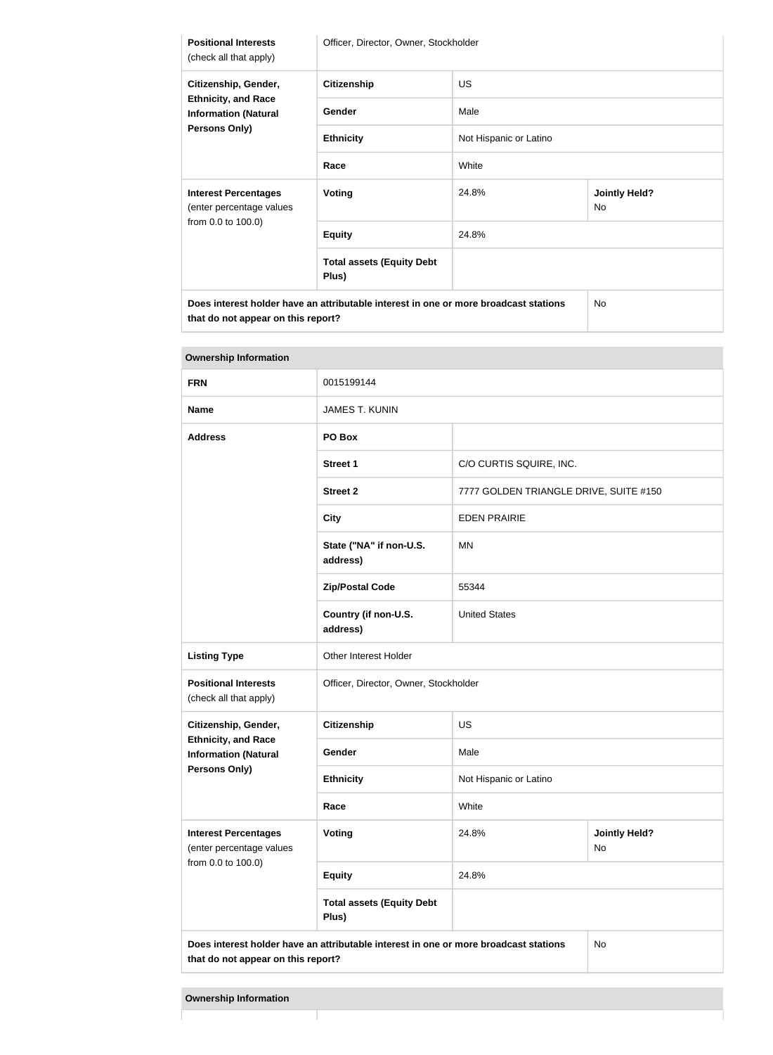| <b>Positional Interests</b><br>(check all that apply)                                                                      | Officer, Director, Owner, Stockholder     |                        |                                   |  |
|----------------------------------------------------------------------------------------------------------------------------|-------------------------------------------|------------------------|-----------------------------------|--|
| Citizenship, Gender,<br><b>Ethnicity, and Race</b><br><b>Information (Natural</b><br>Persons Only)                         | <b>Citizenship</b>                        | <b>US</b>              |                                   |  |
|                                                                                                                            | Gender                                    | Male                   |                                   |  |
|                                                                                                                            | <b>Ethnicity</b>                          | Not Hispanic or Latino |                                   |  |
|                                                                                                                            | Race                                      | White                  |                                   |  |
| <b>Interest Percentages</b><br>(enter percentage values                                                                    | <b>Voting</b>                             | 24.8%                  | <b>Jointly Held?</b><br><b>No</b> |  |
| from 0.0 to 100.0)                                                                                                         | <b>Equity</b>                             | 24.8%                  |                                   |  |
|                                                                                                                            | <b>Total assets (Equity Debt</b><br>Plus) |                        |                                   |  |
| Does interest holder have an attributable interest in one or more broadcast stations<br>that do not appear on this report? |                                           |                        | <b>No</b>                         |  |

| <b>FRN</b>                                                                                                                       | 0015199144                                |                                        |  |
|----------------------------------------------------------------------------------------------------------------------------------|-------------------------------------------|----------------------------------------|--|
| <b>Name</b>                                                                                                                      | <b>JAMES T. KUNIN</b>                     |                                        |  |
| <b>Address</b>                                                                                                                   | PO Box                                    |                                        |  |
|                                                                                                                                  | <b>Street 1</b>                           | C/O CURTIS SQUIRE, INC.                |  |
|                                                                                                                                  | <b>Street 2</b>                           | 7777 GOLDEN TRIANGLE DRIVE, SUITE #150 |  |
|                                                                                                                                  | <b>City</b>                               | <b>EDEN PRAIRIE</b>                    |  |
|                                                                                                                                  | State ("NA" if non-U.S.<br>address)       | ΜN                                     |  |
|                                                                                                                                  | <b>Zip/Postal Code</b>                    | 55344                                  |  |
|                                                                                                                                  | Country (if non-U.S.<br>address)          | <b>United States</b>                   |  |
| <b>Listing Type</b>                                                                                                              | Other Interest Holder                     |                                        |  |
| <b>Positional Interests</b><br>(check all that apply)                                                                            | Officer, Director, Owner, Stockholder     |                                        |  |
| Citizenship, Gender,                                                                                                             | <b>Citizenship</b>                        | <b>US</b>                              |  |
| <b>Ethnicity, and Race</b><br><b>Information (Natural</b>                                                                        | Gender                                    | Male                                   |  |
| <b>Persons Only)</b>                                                                                                             | <b>Ethnicity</b>                          | Not Hispanic or Latino                 |  |
|                                                                                                                                  | Race                                      | White                                  |  |
| <b>Interest Percentages</b><br>(enter percentage values                                                                          | Voting                                    | 24.8%<br><b>Jointly Held?</b><br>No    |  |
| from 0.0 to 100.0)                                                                                                               | <b>Equity</b>                             | 24.8%                                  |  |
|                                                                                                                                  | <b>Total assets (Equity Debt</b><br>Plus) |                                        |  |
| Does interest holder have an attributable interest in one or more broadcast stations<br>No<br>that do not appear on this report? |                                           |                                        |  |

#### **Ownership Information**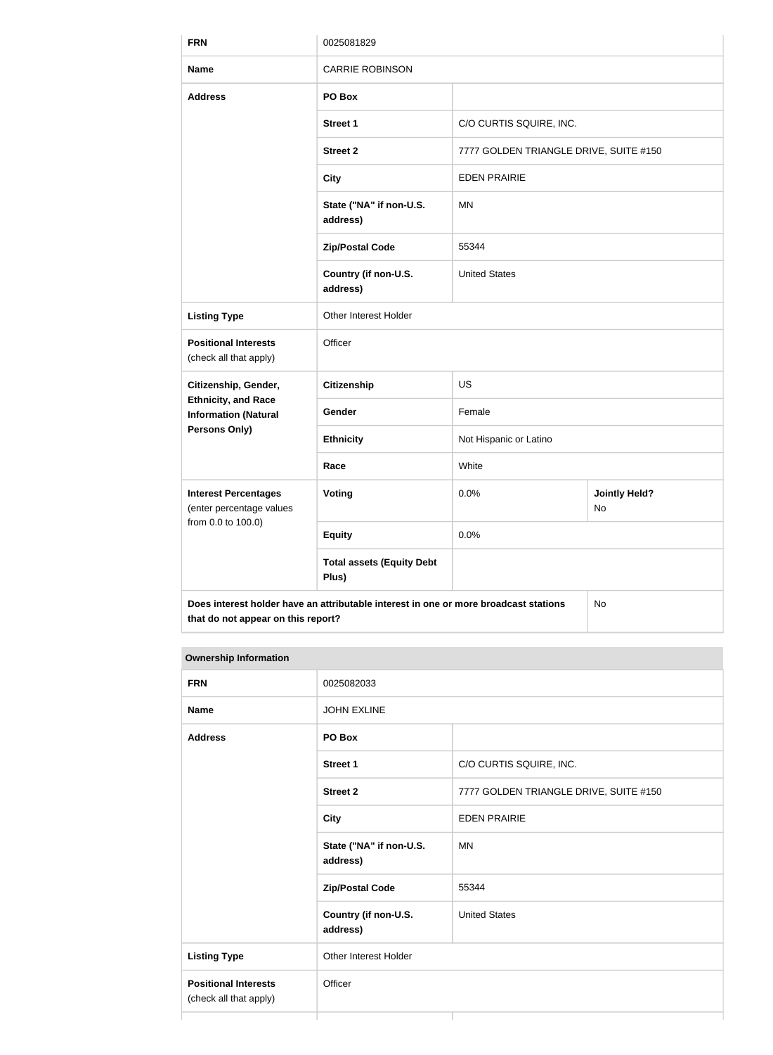| <b>FRN</b>                                                | 0025081829                                                                           |                                        |                            |  |
|-----------------------------------------------------------|--------------------------------------------------------------------------------------|----------------------------------------|----------------------------|--|
| <b>Name</b>                                               | <b>CARRIE ROBINSON</b>                                                               |                                        |                            |  |
| <b>Address</b>                                            | PO Box                                                                               |                                        |                            |  |
|                                                           | <b>Street 1</b>                                                                      | C/O CURTIS SQUIRE, INC.                |                            |  |
|                                                           | <b>Street 2</b>                                                                      | 7777 GOLDEN TRIANGLE DRIVE, SUITE #150 |                            |  |
|                                                           | <b>City</b>                                                                          | <b>EDEN PRAIRIE</b>                    |                            |  |
|                                                           | State ("NA" if non-U.S.<br>address)                                                  | <b>MN</b>                              |                            |  |
|                                                           | <b>Zip/Postal Code</b>                                                               | 55344                                  |                            |  |
|                                                           | Country (if non-U.S.<br>address)                                                     | <b>United States</b>                   |                            |  |
| <b>Listing Type</b>                                       | Other Interest Holder                                                                |                                        |                            |  |
| <b>Positional Interests</b><br>(check all that apply)     | Officer                                                                              |                                        |                            |  |
| Citizenship, Gender,                                      | <b>Citizenship</b>                                                                   | <b>US</b>                              |                            |  |
| <b>Ethnicity, and Race</b><br><b>Information (Natural</b> | Gender                                                                               | Female                                 |                            |  |
| <b>Persons Only)</b>                                      | <b>Ethnicity</b>                                                                     | Not Hispanic or Latino                 |                            |  |
|                                                           | Race                                                                                 | White                                  |                            |  |
| <b>Interest Percentages</b><br>(enter percentage values   | <b>Voting</b>                                                                        | 0.0%                                   | <b>Jointly Held?</b><br>No |  |
| from 0.0 to 100.0)                                        | <b>Equity</b>                                                                        | 0.0%                                   |                            |  |
|                                                           | <b>Total assets (Equity Debt</b><br>Plus)                                            |                                        |                            |  |
| that do not appear on this report?                        | Does interest holder have an attributable interest in one or more broadcast stations |                                        | No                         |  |

| <b>Ownership Information</b>                          |                                     |                                        |  |
|-------------------------------------------------------|-------------------------------------|----------------------------------------|--|
| <b>FRN</b>                                            | 0025082033                          |                                        |  |
| <b>Name</b>                                           | <b>JOHN EXLINE</b>                  |                                        |  |
| <b>Address</b>                                        | PO Box                              |                                        |  |
|                                                       | <b>Street 1</b>                     | C/O CURTIS SQUIRE, INC.                |  |
|                                                       | <b>Street 2</b>                     | 7777 GOLDEN TRIANGLE DRIVE, SUITE #150 |  |
|                                                       | <b>City</b>                         | <b>EDEN PRAIRIE</b>                    |  |
|                                                       | State ("NA" if non-U.S.<br>address) | MN                                     |  |
|                                                       | <b>Zip/Postal Code</b>              | 55344                                  |  |
|                                                       | Country (if non-U.S.<br>address)    | <b>United States</b>                   |  |
| <b>Listing Type</b>                                   | Other Interest Holder               |                                        |  |
| <b>Positional Interests</b><br>(check all that apply) | Officer                             |                                        |  |
|                                                       |                                     |                                        |  |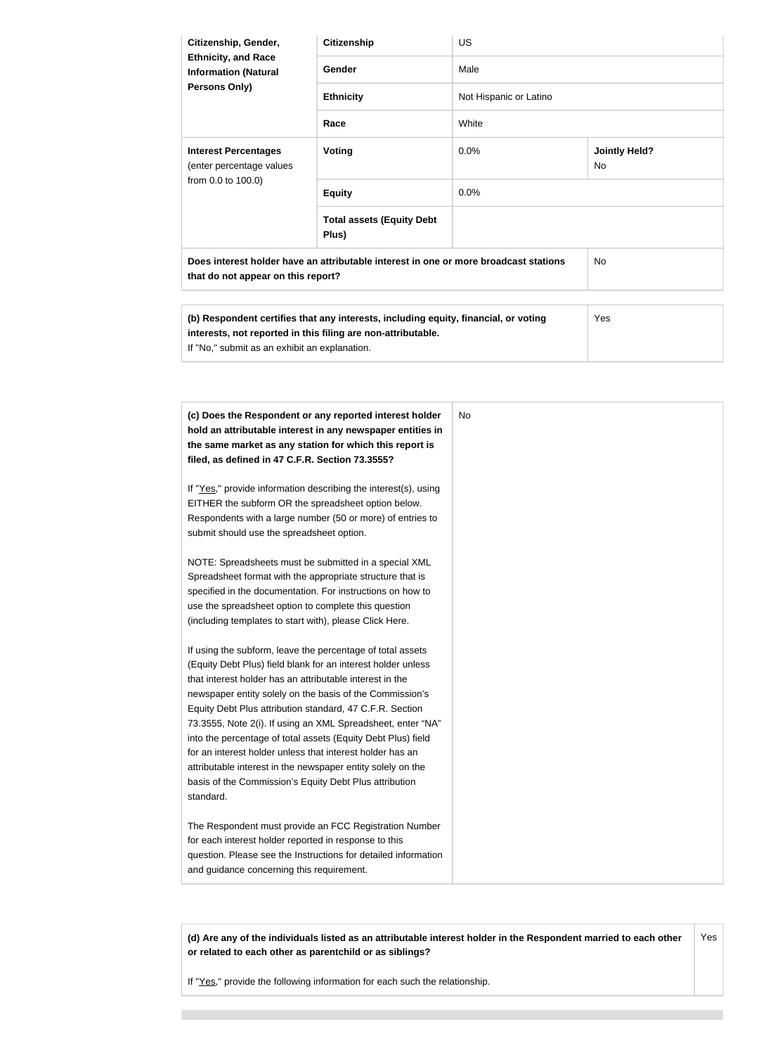| Citizenship, Gender,<br><b>Ethnicity, and Race</b><br><b>Information (Natural</b><br><b>Persons Only)</b>                  | <b>Citizenship</b>                                                                  | <b>US</b>              |                            |  |
|----------------------------------------------------------------------------------------------------------------------------|-------------------------------------------------------------------------------------|------------------------|----------------------------|--|
|                                                                                                                            | Gender                                                                              | Male                   |                            |  |
|                                                                                                                            | <b>Ethnicity</b>                                                                    | Not Hispanic or Latino |                            |  |
|                                                                                                                            | Race                                                                                | White                  |                            |  |
| <b>Interest Percentages</b><br>(enter percentage values<br>from 0.0 to 100.0)                                              | <b>Voting</b>                                                                       | 0.0%                   | <b>Jointly Held?</b><br>No |  |
|                                                                                                                            | <b>Equity</b>                                                                       | 0.0%                   |                            |  |
|                                                                                                                            | <b>Total assets (Equity Debt</b><br>Plus)                                           |                        |                            |  |
| Does interest holder have an attributable interest in one or more broadcast stations<br>that do not appear on this report? |                                                                                     | No.                    |                            |  |
|                                                                                                                            |                                                                                     |                        |                            |  |
|                                                                                                                            | (b) Respondent certifies that any interests, including equity, financial, or voting |                        | Yes                        |  |

| (c) Does the Respondent or any reported interest holder<br>hold an attributable interest in any newspaper entities in<br>the same market as any station for which this report is<br>filed, as defined in 47 C.F.R. Section 73.3555?                                                                                                                                                                                                                                                                                                                                                                                                              | No |
|--------------------------------------------------------------------------------------------------------------------------------------------------------------------------------------------------------------------------------------------------------------------------------------------------------------------------------------------------------------------------------------------------------------------------------------------------------------------------------------------------------------------------------------------------------------------------------------------------------------------------------------------------|----|
| If "Yes," provide information describing the interest(s), using<br>EITHER the subform OR the spreadsheet option below.<br>Respondents with a large number (50 or more) of entries to<br>submit should use the spreadsheet option.                                                                                                                                                                                                                                                                                                                                                                                                                |    |
| NOTE: Spreadsheets must be submitted in a special XML<br>Spreadsheet format with the appropriate structure that is<br>specified in the documentation. For instructions on how to<br>use the spreadsheet option to complete this question<br>(including templates to start with), please Click Here.                                                                                                                                                                                                                                                                                                                                              |    |
| If using the subform, leave the percentage of total assets<br>(Equity Debt Plus) field blank for an interest holder unless<br>that interest holder has an attributable interest in the<br>newspaper entity solely on the basis of the Commission's<br>Equity Debt Plus attribution standard, 47 C.F.R. Section<br>73.3555, Note 2(i). If using an XML Spreadsheet, enter "NA"<br>into the percentage of total assets (Equity Debt Plus) field<br>for an interest holder unless that interest holder has an<br>attributable interest in the newspaper entity solely on the<br>basis of the Commission's Equity Debt Plus attribution<br>standard. |    |
| The Respondent must provide an FCC Registration Number<br>for each interest holder reported in response to this<br>question. Please see the Instructions for detailed information<br>and guidance concerning this requirement.                                                                                                                                                                                                                                                                                                                                                                                                                   |    |

**(d) Are any of the individuals listed as an attributable interest holder in the Respondent married to each other or related to each other as parentchild or as siblings?** Yes

If "Yes," provide the following information for each such the relationship.

**interests, not reported in this filing are non-attributable.**

If "No," submit as an exhibit an explanation.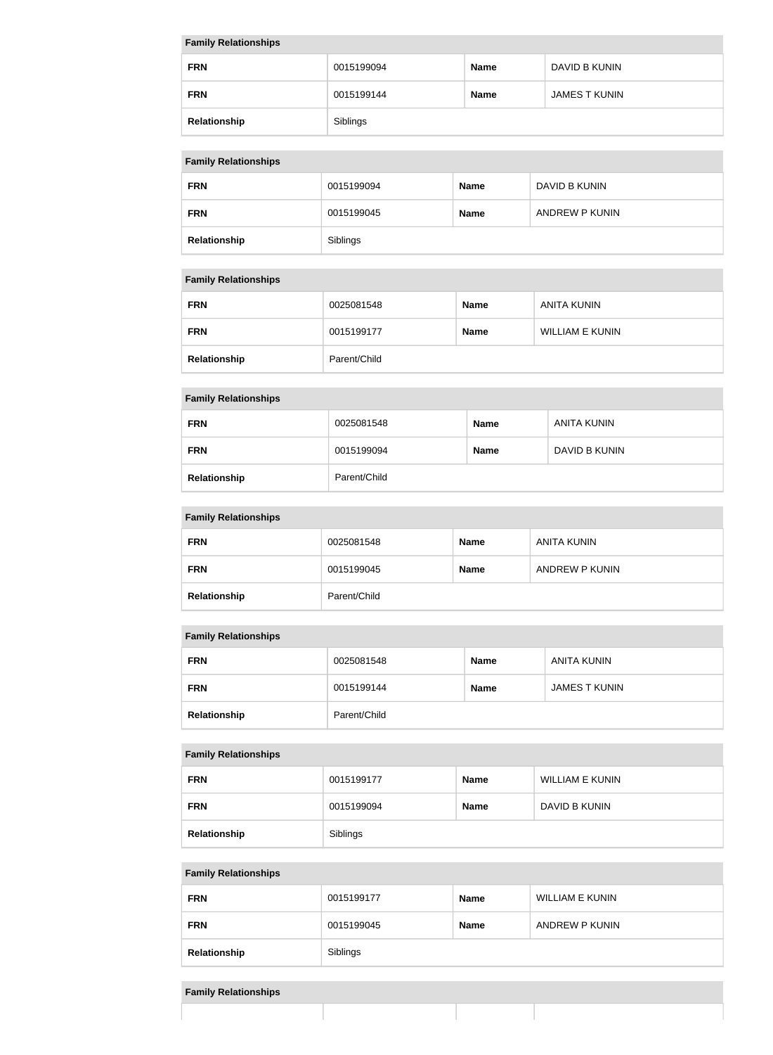#### **Family Relationships**

| <b>FRN</b>   | 0015199094 | <b>Name</b> | DAVID B KUNIN        |
|--------------|------------|-------------|----------------------|
| <b>FRN</b>   | 0015199144 | <b>Name</b> | <b>JAMES T KUNIN</b> |
| Relationship | Siblings   |             |                      |

#### **Family Relationships**

| . .          |            |             |                |  |
|--------------|------------|-------------|----------------|--|
| <b>FRN</b>   | 0015199094 | <b>Name</b> | DAVID B KUNIN  |  |
| <b>FRN</b>   | 0015199045 | <b>Name</b> | ANDREW P KUNIN |  |
| Relationship | Siblings   |             |                |  |

#### **Family Relationships**

| <b>FRN</b>   | 0025081548   | <b>Name</b> | ANITA KUNIN     |
|--------------|--------------|-------------|-----------------|
| <b>FRN</b>   | 0015199177   | <b>Name</b> | WILLIAM E KUNIN |
| Relationship | Parent/Child |             |                 |

# **Family Relationships**

| <b>FRN</b>   | 0025081548   | <b>Name</b> | ANITA KUNIN   |
|--------------|--------------|-------------|---------------|
| <b>FRN</b>   | 0015199094   | <b>Name</b> | DAVID B KUNIN |
| Relationship | Parent/Child |             |               |

### **Family Relationships**

| $\sim$       |              |             |                |
|--------------|--------------|-------------|----------------|
| <b>FRN</b>   | 0025081548   | <b>Name</b> | ANITA KUNIN    |
| <b>FRN</b>   | 0015199045   | <b>Name</b> | ANDREW P KUNIN |
| Relationship | Parent/Child |             |                |

# **Family Relationships**

| <b>FRN</b>   | 0025081548   | <b>Name</b> | ANITA KUNIN   |
|--------------|--------------|-------------|---------------|
| <b>FRN</b>   | 0015199144   | <b>Name</b> | JAMES T KUNIN |
| Relationship | Parent/Child |             |               |

#### **Family Relationships**

| <b>FRN</b>   | 0015199177 | <b>Name</b> | <b>WILLIAM E KUNIN</b> |
|--------------|------------|-------------|------------------------|
| <b>FRN</b>   | 0015199094 | <b>Name</b> | DAVID B KUNIN          |
| Relationship | Siblings   |             |                        |

#### **Family Relationships**

| <b>FRN</b>   | 0015199177 | <b>Name</b> | <b>WILLIAM E KUNIN</b> |
|--------------|------------|-------------|------------------------|
| <b>FRN</b>   | 0015199045 | <b>Name</b> | ANDREW P KUNIN         |
| Relationship | Siblings   |             |                        |

#### **Family Relationships**